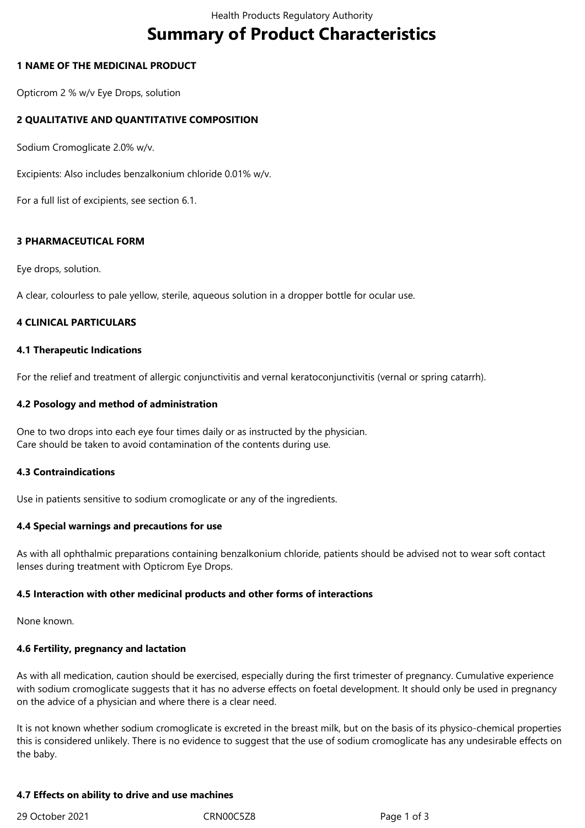# **Summary of Product Characteristics**

## **1 NAME OF THE MEDICINAL PRODUCT**

Opticrom 2 % w/v Eye Drops, solution

# **2 QUALITATIVE AND QUANTITATIVE COMPOSITION**

Sodium Cromoglicate 2.0% w/v.

Excipients: Also includes benzalkonium chloride 0.01% w/v.

For a full list of excipients, see section 6.1.

## **3 PHARMACEUTICAL FORM**

Eye drops, solution.

A clear, colourless to pale yellow, sterile, aqueous solution in a dropper bottle for ocular use.

## **4 CLINICAL PARTICULARS**

## **4.1 Therapeutic Indications**

For the relief and treatment of allergic conjunctivitis and vernal keratoconjunctivitis (vernal or spring catarrh).

## **4.2 Posology and method of administration**

One to two drops into each eye four times daily or as instructed by the physician. Care should be taken to avoid contamination of the contents during use.

## **4.3 Contraindications**

Use in patients sensitive to sodium cromoglicate or any of the ingredients.

## **4.4 Special warnings and precautions for use**

As with all ophthalmic preparations containing benzalkonium chloride, patients should be advised not to wear soft contact lenses during treatment with Opticrom Eye Drops.

## **4.5 Interaction with other medicinal products and other forms of interactions**

None known.

## **4.6 Fertility, pregnancy and lactation**

As with all medication, caution should be exercised, especially during the first trimester of pregnancy. Cumulative experience with sodium cromoglicate suggests that it has no adverse effects on foetal development. It should only be used in pregnancy on the advice of a physician and where there is a clear need.

It is not known whether sodium cromoglicate is excreted in the breast milk, but on the basis of its physico-chemical properties this is considered unlikely. There is no evidence to suggest that the use of sodium cromoglicate has any undesirable effects on the baby.

## **4.7 Effects on ability to drive and use machines**

29 October 2021 CRN00C5Z8 Page 1 of 3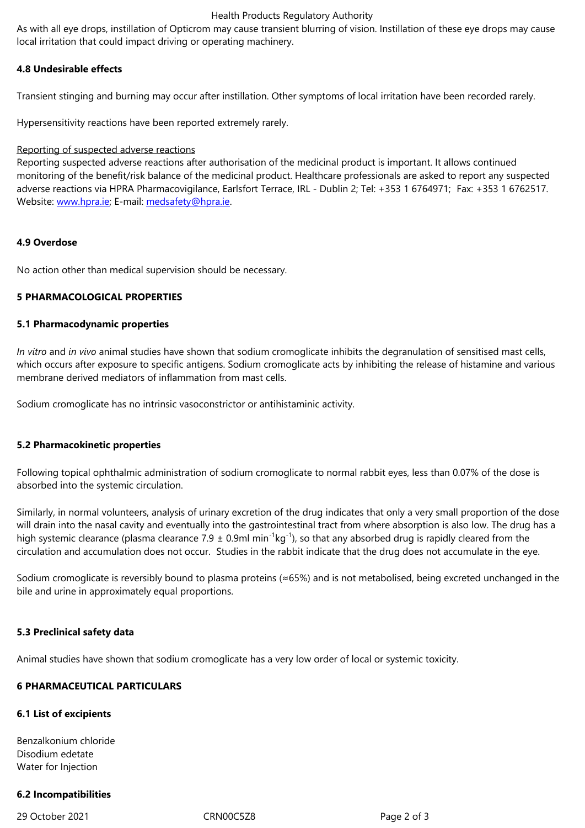#### **4.8 Undesirable effects**

Transient stinging and burning may occur after instillation. Other symptoms of local irritation have been recorded rarely.

Hypersensitivity reactions have been reported extremely rarely.

#### Reporting of suspected adverse reactions

Reporting suspected adverse reactions after authorisation of the medicinal product is important. It allows continued monitoring of the benefit/risk balance of the medicinal product. Healthcare professionals are asked to report any suspected adverse reactions via HPRA Pharmacovigilance, Earlsfort Terrace, IRL - Dublin 2; Tel: +353 1 6764971; Fax: +353 1 6762517. Website: www.hpra.ie; E-mail: medsafety@hpra.ie.

## **4.9 Over[dose](http://www.hpra.ie/)**

No action other than medical supervision should be necessary.

## **5 PHARMACOLOGICAL PROPERTIES**

#### **5.1 Pharmacodynamic properties**

*In vitro* and *in vivo* animal studies have shown that sodium cromoglicate inhibits the degranulation of sensitised mast cells, which occurs after exposure to specific antigens. Sodium cromoglicate acts by inhibiting the release of histamine and various membrane derived mediators of inflammation from mast cells.

Sodium cromoglicate has no intrinsic vasoconstrictor or antihistaminic activity.

## **5.2 Pharmacokinetic properties**

Following topical ophthalmic administration of sodium cromoglicate to normal rabbit eyes, less than 0.07% of the dose is absorbed into the systemic circulation.

Similarly, in normal volunteers, analysis of urinary excretion of the drug indicates that only a very small proportion of the dose will drain into the nasal cavity and eventually into the gastrointestinal tract from where absorption is also low. The drug has a high systemic clearance (plasma clearance 7.9  $\pm$  0.9ml min<sup>-1</sup>kg<sup>-1</sup>), so that any absorbed drug is rapidly cleared from the circulation and accumulation does not occur. Studies in the rabbit indicate that the drug does not accumulate in the eye.

Sodium cromoglicate is reversibly bound to plasma proteins (≈65%) and is not metabolised, being excreted unchanged in the bile and urine in approximately equal proportions.

## **5.3 Preclinical safety data**

Animal studies have shown that sodium cromoglicate has a very low order of local or systemic toxicity.

## **6 PHARMACEUTICAL PARTICULARS**

## **6.1 List of excipients**

Benzalkonium chloride Disodium edetate Water for Injection

## **6.2 Incompatibilities**

29 October 2021 CRN00C5Z8 Page 2 of 3